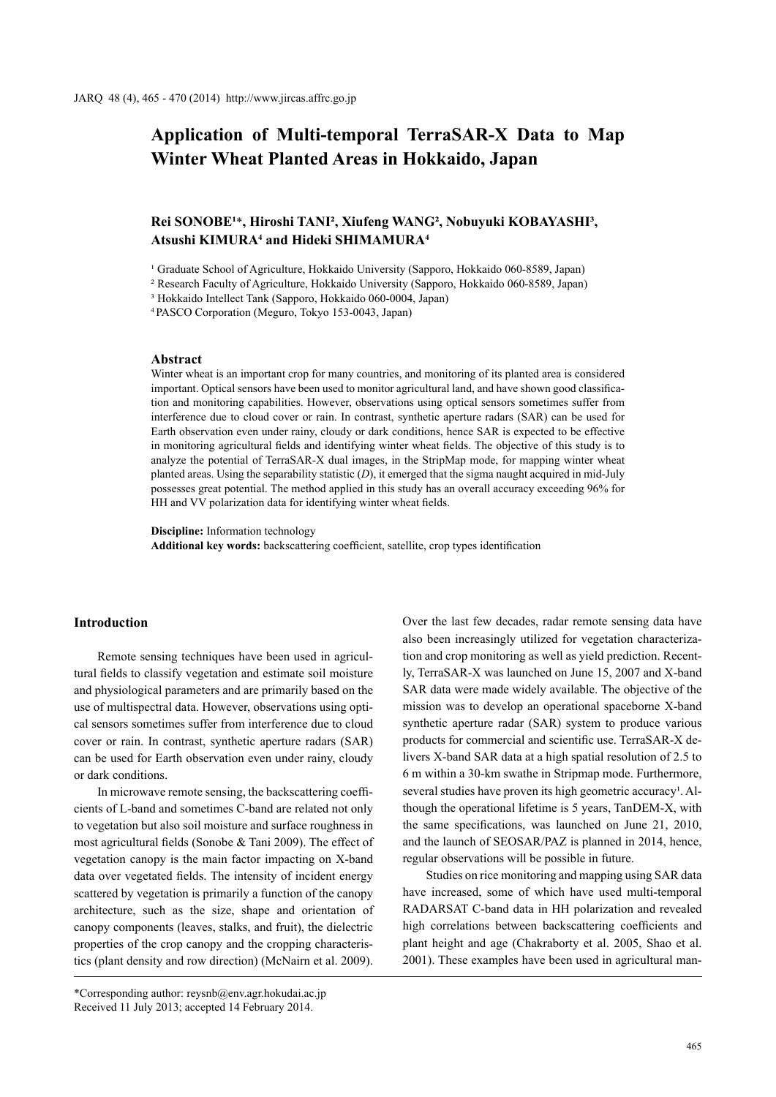# **Application of Multi-temporal TerraSAR-X Data to Map Winter Wheat Planted Areas in Hokkaido, Japan**

## Rei SONOBE<sup>1\*</sup>, Hiroshi TANI<sup>2</sup>, Xiufeng WANG<sup>2</sup>, Nobuyuki KOBAYASHI<sup>3</sup>, **Atsushi KIMURA4 and Hideki SHIMAMURA4**

<sup>1</sup> Graduate School of Agriculture, Hokkaido University (Sapporo, Hokkaido 060-8589, Japan)

² Research Faculty of Agriculture, Hokkaido University (Sapporo, Hokkaido 060-8589, Japan)

³ Hokkaido Intellect Tank (Sapporo, Hokkaido 060-0004, Japan)

<sup>4</sup>PASCO Corporation (Meguro, Tokyo 153-0043, Japan)

## **Abstract**

Winter wheat is an important crop for many countries, and monitoring of its planted area is considered important. Optical sensors have been used to monitor agricultural land, and have shown good classification and monitoring capabilities. However, observations using optical sensors sometimes suffer from interference due to cloud cover or rain. In contrast, synthetic aperture radars (SAR) can be used for Earth observation even under rainy, cloudy or dark conditions, hence SAR is expected to be effective in monitoring agricultural fields and identifying winter wheat fields. The objective of this study is to analyze the potential of TerraSAR-X dual images, in the StripMap mode, for mapping winter wheat planted areas. Using the separability statistic (*D*), it emerged that the sigma naught acquired in mid-July possesses great potential. The method applied in this study has an overall accuracy exceeding 96% for HH and VV polarization data for identifying winter wheat fields.

**Discipline:** Information technology

**Additional key words:** backscattering coefficient, satellite, crop types identification

## **Introduction**

Remote sensing techniques have been used in agricultural fields to classify vegetation and estimate soil moisture and physiological parameters and are primarily based on the use of multispectral data. However, observations using optical sensors sometimes suffer from interference due to cloud cover or rain. In contrast, synthetic aperture radars (SAR) can be used for Earth observation even under rainy, cloudy or dark conditions.

In microwave remote sensing, the backscattering coefficients of L-band and sometimes C-band are related not only to vegetation but also soil moisture and surface roughness in most agricultural fields (Sonobe & Tani 2009). The effect of vegetation canopy is the main factor impacting on X-band data over vegetated fields. The intensity of incident energy scattered by vegetation is primarily a function of the canopy architecture, such as the size, shape and orientation of canopy components (leaves, stalks, and fruit), the dielectric properties of the crop canopy and the cropping characteristics (plant density and row direction) (McNairn et al. 2009).

\*Corresponding author: reysnb@env.agr.hokudai.ac.jp Received 11 July 2013; accepted 14 February 2014.

Over the last few decades, radar remote sensing data have also been increasingly utilized for vegetation characterization and crop monitoring as well as yield prediction. Recently, TerraSAR-X was launched on June 15, 2007 and X-band SAR data were made widely available. The objective of the mission was to develop an operational spaceborne X-band synthetic aperture radar (SAR) system to produce various products for commercial and scientific use. TerraSAR-X delivers X-band SAR data at a high spatial resolution of 2.5 to 6 m within a 30-km swathe in Stripmap mode. Furthermore, several studies have proven its high geometric accuracy<sup>1</sup>. Although the operational lifetime is 5 years, TanDEM-X, with the same specifications, was launched on June 21, 2010, and the launch of SEOSAR/PAZ is planned in 2014, hence, regular observations will be possible in future.

Studies on rice monitoring and mapping using SAR data have increased, some of which have used multi-temporal RADARSAT C-band data in HH polarization and revealed high correlations between backscattering coefficients and plant height and age (Chakraborty et al. 2005, Shao et al. 2001). These examples have been used in agricultural man-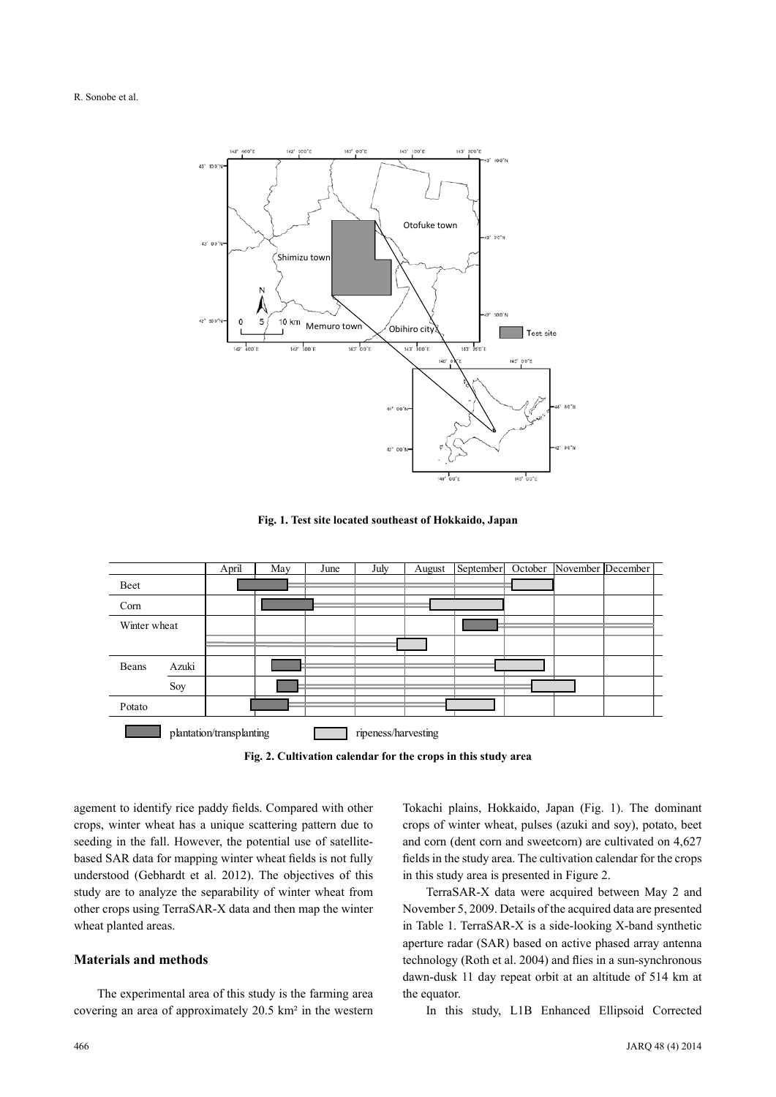

**Fig. 1. Test site located southeast of Hokkaido, Japan**



**Fig. 2. Cultivation calendar for the crops in this study area**

agement to identify rice paddy fields. Compared with other crops, winter wheat has a unique scattering pattern due to seeding in the fall. However, the potential use of satellitebased SAR data for mapping winter wheat fields is not fully understood (Gebhardt et al. 2012). The objectives of this study are to analyze the separability of winter wheat from other crops using TerraSAR-X data and then map the winter wheat planted areas.

## **Materials and methods**

The experimental area of this study is the farming area covering an area of approximately 20.5 km² in the western Tokachi plains, Hokkaido, Japan (Fig. 1). The dominant crops of winter wheat, pulses (azuki and soy), potato, beet and corn (dent corn and sweetcorn) are cultivated on 4,627 fields in the study area. The cultivation calendar for the crops in this study area is presented in Figure 2.

TerraSAR-X data were acquired between May 2 and November 5, 2009. Details of the acquired data are presented in Table 1. TerraSAR-X is a side-looking X-band synthetic aperture radar (SAR) based on active phased array antenna technology (Roth et al. 2004) and flies in a sun-synchronous dawn-dusk 11 day repeat orbit at an altitude of 514 km at the equator.

In this study, L1B Enhanced Ellipsoid Corrected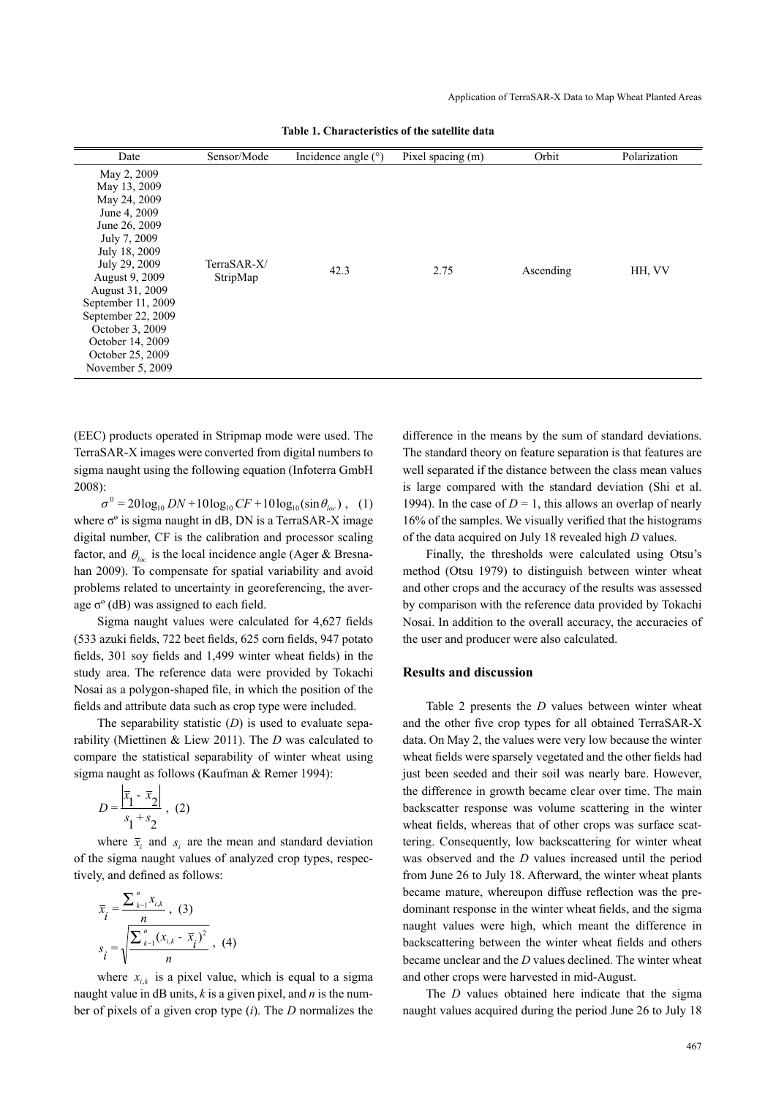| Date                                                                                                                                                                                                                                                                       | Sensor/Mode             | Incidence angle $(°)$ | Pixel spacing (m) | Orbit     | Polarization |
|----------------------------------------------------------------------------------------------------------------------------------------------------------------------------------------------------------------------------------------------------------------------------|-------------------------|-----------------------|-------------------|-----------|--------------|
| May 2, 2009<br>May 13, 2009<br>May 24, 2009<br>June 4, 2009<br>June 26, 2009<br>July 7, 2009<br>July 18, 2009<br>July 29, 2009<br>August 9, 2009<br>August 31, 2009<br>September 11, 2009<br>September 22, 2009<br>October 3, 2009<br>October 14, 2009<br>October 25, 2009 | TerraSAR-X/<br>StripMap | 42.3                  | 2.75              | Ascending | HH, VV       |

**Table 1. Characteristics of the satellite data**

(EEC) products operated in Stripmap mode were used. The TerraSAR-X images were converted from digital numbers to sigma naught using the following equation (Infoterra GmbH 2008):

 $\sigma^0 = 20 \log_{10} DN + 10 \log_{10} CF + 10 \log_{10} (\sin \theta_{loc})$ , (1) where σ° is sigma naught in dB, DN is a TerraSAR-X image digital number, CF is the calibration and processor scaling factor, and  $\theta_{loc}$  is the local incidence angle (Ager & Bresnahan 2009). To compensate for spatial variability and avoid problems related to uncertainty in georeferencing, the average  $\sigma^{\circ}$  (dB) was assigned to each field.

Sigma naught values were calculated for 4,627 fields (533 azuki fields, 722 beet fields, 625 corn fields, 947 potato fields, 301 soy fields and 1,499 winter wheat fields) in the study area. The reference data were provided by Tokachi Nosai as a polygon-shaped file, in which the position of the fields and attribute data such as crop type were included.

The separability statistic (*D*) is used to evaluate separability (Miettinen & Liew 2011). The *D* was calculated to compare the statistical separability of winter wheat using sigma naught as follows (Kaufman & Remer 1994):

$$
D = \frac{\left| \overline{x}_1 - \overline{x}_2 \right|}{s_1 + s_2}, (2)
$$

where  $\bar{x}$  and  $\bar{s}$  are the mean and standard deviation of the sigma naught values of analyzed crop types, respectively, and defined as follows:

$$
\overline{x}_{i} = \frac{\sum_{k=1}^{n} x_{i,k}}{n}, (3)
$$
\n
$$
s_{i} = \sqrt{\frac{\sum_{k=1}^{n} (x_{i,k} - \overline{x}_{i})^{2}}{n}}, (4)
$$

where  $x_{i,k}$  is a pixel value, which is equal to a sigma naught value in dB units, *k* is a given pixel, and *n* is the number of pixels of a given crop type (*i*). The *D* normalizes the difference in the means by the sum of standard deviations. The standard theory on feature separation is that features are well separated if the distance between the class mean values is large compared with the standard deviation (Shi et al. 1994). In the case of  $D = 1$ , this allows an overlap of nearly 16% of the samples. We visually verified that the histograms of the data acquired on July 18 revealed high *D* values.

Finally, the thresholds were calculated using Otsu's method (Otsu 1979) to distinguish between winter wheat and other crops and the accuracy of the results was assessed by comparison with the reference data provided by Tokachi Nosai. In addition to the overall accuracy, the accuracies of the user and producer were also calculated.

## **Results and discussion**

Table 2 presents the *D* values between winter wheat and the other five crop types for all obtained TerraSAR-X data. On May 2, the values were very low because the winter wheat fields were sparsely vegetated and the other fields had just been seeded and their soil was nearly bare. However, the difference in growth became clear over time. The main backscatter response was volume scattering in the winter wheat fields, whereas that of other crops was surface scattering. Consequently, low backscattering for winter wheat was observed and the *D* values increased until the period from June 26 to July 18. Afterward, the winter wheat plants became mature, whereupon diffuse reflection was the predominant response in the winter wheat fields, and the sigma naught values were high, which meant the difference in backscattering between the winter wheat fields and others became unclear and the *D* values declined. The winter wheat and other crops were harvested in mid-August.

The *D* values obtained here indicate that the sigma naught values acquired during the period June 26 to July 18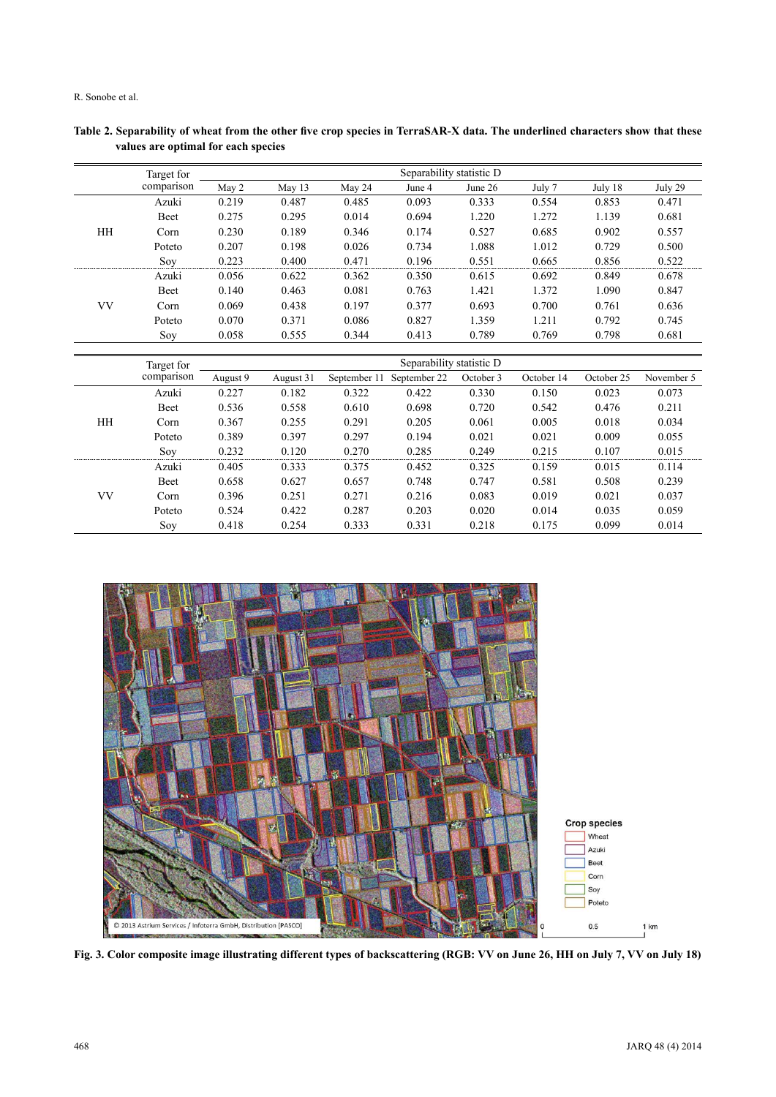R. Sonobe et al.

|           | Target for | Separability statistic D |           |              |                          |           |            |            |            |
|-----------|------------|--------------------------|-----------|--------------|--------------------------|-----------|------------|------------|------------|
|           | comparison | May 2                    | May 13    | May 24       | June 4                   | June 26   | July 7     | July 18    | July 29    |
|           | Azuki      | 0.219                    | 0.487     | 0.485        | 0.093                    | 0.333     | 0.554      | 0.853      | 0.471      |
|           | Beet       | 0.275                    | 0.295     | 0.014        | 0.694                    | 1.220     | 1.272      | 1.139      | 0.681      |
| HH        | Corn       | 0.230                    | 0.189     | 0.346        | 0.174                    | 0.527     | 0.685      | 0.902      | 0.557      |
|           | Poteto     | 0.207                    | 0.198     | 0.026        | 0.734                    | 1.088     | 1.012      | 0.729      | 0.500      |
|           | Soy        | 0.223                    | 0.400     | 0.471        | 0.196                    | 0.551     | 0.665      | 0.856      | 0.522      |
|           | Azuki      | 0.056                    | 0.622     | 0.362        | 0.350                    | 0.615     | 0.692      | 0.849      | 0.678      |
|           | Beet       | 0.140                    | 0.463     | 0.081        | 0.763                    | 1.421     | 1.372      | 1.090      | 0.847      |
| <b>VV</b> | Corn       | 0.069                    | 0.438     | 0.197        | 0.377                    | 0.693     | 0.700      | 0.761      | 0.636      |
|           | Poteto     | 0.070                    | 0.371     | 0.086        | 0.827                    | 1.359     | 1.211      | 0.792      | 0.745      |
|           | Soy        | 0.058                    | 0.555     | 0.344        | 0.413                    | 0.789     | 0.769      | 0.798      | 0.681      |
|           |            |                          |           |              |                          |           |            |            |            |
|           |            |                          |           |              |                          |           |            |            |            |
|           | Target for |                          |           |              | Separability statistic D |           |            |            |            |
|           | comparison | August 9                 | August 31 | September 11 | September 22             | October 3 | October 14 | October 25 | November 5 |
|           | Azuki      | 0.227                    | 0.182     | 0.322        | 0.422                    | 0.330     | 0.150      | 0.023      | 0.073      |
|           | Beet       | 0.536                    | 0.558     | 0.610        | 0.698                    | 0.720     | 0.542      | 0.476      | 0.211      |
| HH        | Corn       | 0.367                    | 0.255     | 0.291        | 0.205                    | 0.061     | 0.005      | 0.018      | 0.034      |
|           | Poteto     | 0.389                    | 0.397     | 0.297        | 0.194                    | 0.021     | 0.021      | 0.009      | 0.055      |
|           | Soy        | 0.232                    | 0.120     | 0.270        | 0.285                    | 0.249     | 0.215      | 0.107      | 0.015      |
|           | Azuki      | 0.405                    | 0.333     | 0.375        | 0.452                    | 0.325     | 0.159      | 0.015      | 0.114      |
|           | Beet       | 0.658                    | 0.627     | 0.657        | 0.748                    | 0.747     | 0.581      | 0.508      | 0.239      |
| <b>VV</b> | Corn       | 0.396                    | 0.251     | 0.271        | 0.216                    | 0.083     | 0.019      | 0.021      | 0.037      |
|           | Poteto     | 0.524                    | 0.422     | 0.287        | 0.203                    | 0.020     | 0.014      | 0.035      | 0.059      |

**Table 2. Separability of wheat from the other five crop species in TerraSAR-X data. The underlined characters show that these values are optimal for each species**



**Fig. 3. Color composite image illustrating different types of backscattering (RGB: VV on June 26, HH on July 7, VV on July 18)**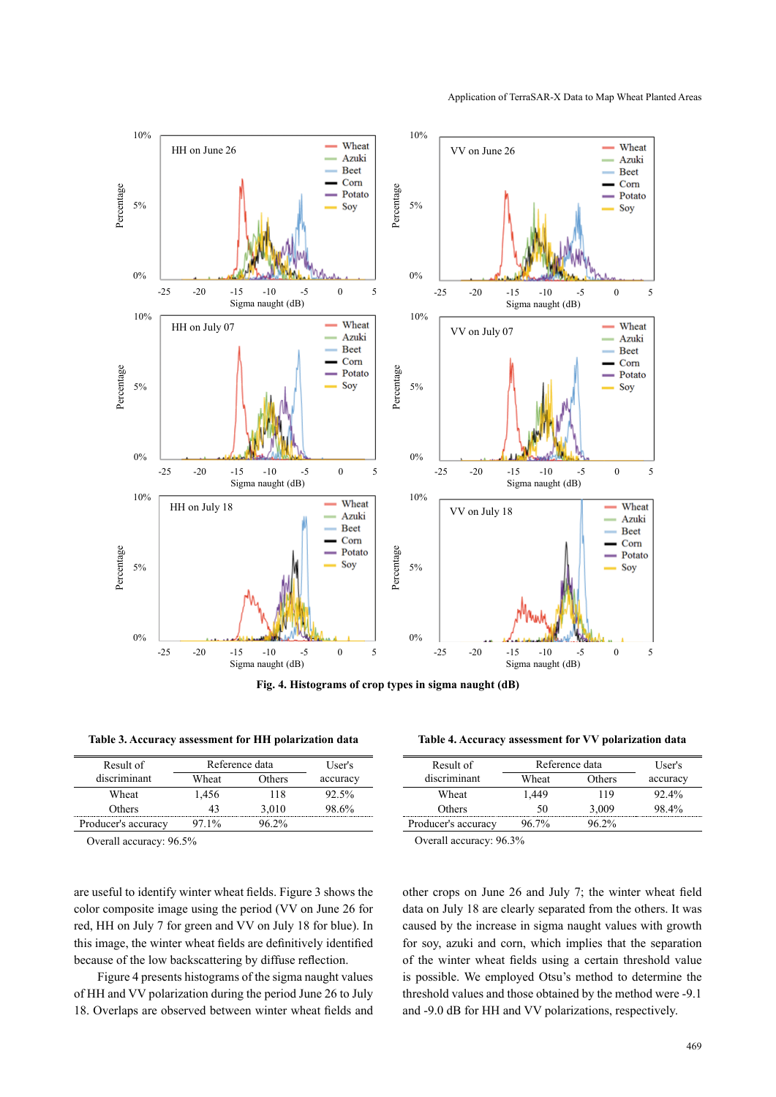

**Fig. 4. Histograms of crop types in sigma naught (dB)**

| Result of           | Reference data | User's   |          |
|---------------------|----------------|----------|----------|
| discriminant        | Wheat          | Others   | accuracy |
| Wheat               | 1,456          | 118      | 92.5%    |
| <b>Others</b>       | 43             | 3,010    | 98.6%    |
| Producer's accuracy | $971\%$        | $96.2\%$ |          |

Overall accuracy: 96.5% Overall accuracy: 96.3%

are useful to identify winter wheat fields. Figure 3 shows the color composite image using the period (VV on June 26 for red, HH on July 7 for green and VV on July 18 for blue). In this image, the winter wheat fields are definitively identified because of the low backscattering by diffuse reflection.

Figure 4 presents histograms of the sigma naught values of HH and VV polarization during the period June 26 to July 18. Overlaps are observed between winter wheat fields and

**Table 3. Accuracy assessment for HH polarization data Table 4. Accuracy assessment for VV polarization data**

| Result of           | Reference data | User's   |          |
|---------------------|----------------|----------|----------|
| discriminant        | Wheat          | Others   | accuracy |
| Wheat               | 1.449          | 119      | $92.4\%$ |
| Others              | 50             | 3,009    | 98.4%    |
| Producer's accuracy | 96 7%          | $96.2\%$ |          |

other crops on June 26 and July 7; the winter wheat field data on July 18 are clearly separated from the others. It was caused by the increase in sigma naught values with growth for soy, azuki and corn, which implies that the separation of the winter wheat fields using a certain threshold value is possible. We employed Otsu's method to determine the threshold values and those obtained by the method were -9.1 and -9.0 dB for HH and VV polarizations, respectively.